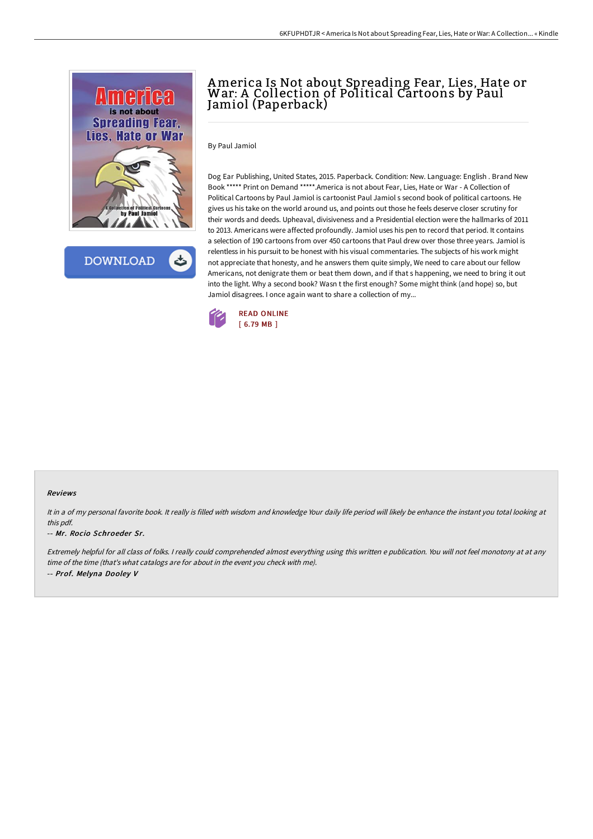

**DOWNLOAD** 

## America Is Not about Spreading Fear, Lies, Hate or War: A Collection of Political Cartoons by Paul Jamiol (Paperback)

By Paul Jamiol

Dog Ear Publishing, United States, 2015. Paperback. Condition: New. Language: English . Brand New Book \*\*\*\*\* Print on Demand \*\*\*\*\*.America is not about Fear, Lies, Hate or War - A Collection of Political Cartoons by Paul Jamiol is cartoonist Paul Jamiol s second book of political cartoons. He gives us his take on the world around us, and points out those he feels deserve closer scrutiny for their words and deeds. Upheaval, divisiveness and a Presidential election were the hallmarks of 2011 to 2013. Americans were affected profoundly. Jamiol uses his pen to record that period. It contains a selection of 190 cartoons from over 450 cartoons that Paul drew over those three years. Jamiol is relentless in his pursuit to be honest with his visual commentaries. The subjects of his work might not appreciate that honesty, and he answers them quite simply, We need to care about our fellow Americans, not denigrate them or beat them down, and if that s happening, we need to bring it out into the light. Why a second book? Wasn t the first enough? Some might think (and hope) so, but Jamiol disagrees. I once again want to share a collection of my...



## Reviews

It in a of my personal favorite book. It really is filled with wisdom and knowledge Your daily life period will likely be enhance the instant you total looking at this pdf.

## -- Mr. Rocio Schroeder Sr.

Extremely helpful for all class of folks. <sup>I</sup> really could comprehended almost everything using this written <sup>e</sup> publication. You will not feel monotony at at any time of the time (that's what catalogs are for about in the event you check with me). -- Prof. Melyna Dooley V